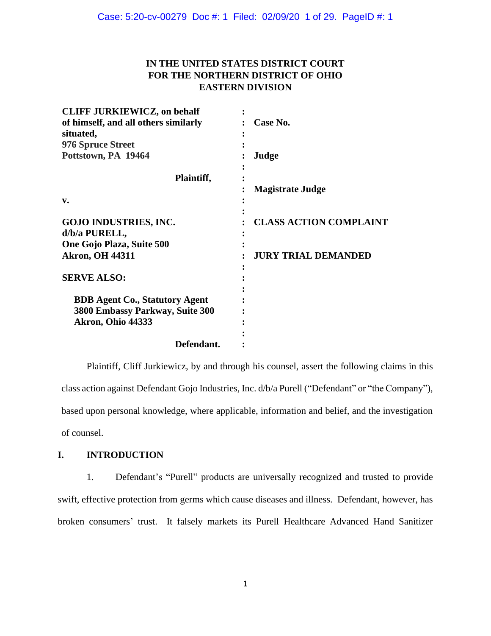## **IN THE UNITED STATES DISTRICT COURT FOR THE NORTHERN DISTRICT OF OHIO EASTERN DIVISION**

| <b>CLIFF JURKIEWICZ, on behalf</b>    |                               |
|---------------------------------------|-------------------------------|
| of himself, and all others similarly  | Case No.                      |
| situated,                             |                               |
| <b>976 Spruce Street</b>              |                               |
| Pottstown, PA 19464                   | Judge                         |
| Plaintiff,                            |                               |
|                                       | <b>Magistrate Judge</b>       |
| $\mathbf{v}$ .                        |                               |
| <b>GOJO INDUSTRIES, INC.</b>          | <b>CLASS ACTION COMPLAINT</b> |
| d/b/a PURELL,                         |                               |
| One Gojo Plaza, Suite 500             |                               |
| <b>Akron, OH 44311</b>                | <b>JURY TRIAL DEMANDED</b>    |
| <b>SERVE ALSO:</b>                    |                               |
|                                       |                               |
| <b>BDB Agent Co., Statutory Agent</b> |                               |
| 3800 Embassy Parkway, Suite 300       |                               |
| Akron, Ohio 44333                     |                               |
|                                       |                               |
| Defendant.                            |                               |

Plaintiff, Cliff Jurkiewicz, by and through his counsel, assert the following claims in this class action against Defendant Gojo Industries, Inc. d/b/a Purell ("Defendant" or "the Company"), based upon personal knowledge, where applicable, information and belief, and the investigation of counsel.

## **I. INTRODUCTION**

1. Defendant's "Purell" products are universally recognized and trusted to provide swift, effective protection from germs which cause diseases and illness. Defendant, however, has broken consumers' trust. It falsely markets its Purell Healthcare Advanced Hand Sanitizer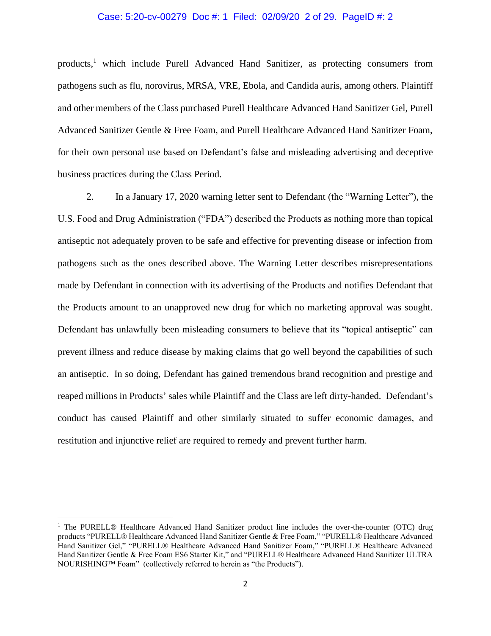## Case: 5:20-cv-00279 Doc #: 1 Filed: 02/09/20 2 of 29. PageID #: 2

products,<sup>1</sup> which include Purell Advanced Hand Sanitizer, as protecting consumers from pathogens such as flu, norovirus, MRSA, VRE, Ebola, and Candida auris, among others. Plaintiff and other members of the Class purchased Purell Healthcare Advanced Hand Sanitizer Gel, Purell Advanced Sanitizer Gentle & Free Foam, and Purell Healthcare Advanced Hand Sanitizer Foam, for their own personal use based on Defendant's false and misleading advertising and deceptive business practices during the Class Period.

2. In a January 17, 2020 warning letter sent to Defendant (the "Warning Letter"), the U.S. Food and Drug Administration ("FDA") described the Products as nothing more than topical antiseptic not adequately proven to be safe and effective for preventing disease or infection from pathogens such as the ones described above. The Warning Letter describes misrepresentations made by Defendant in connection with its advertising of the Products and notifies Defendant that the Products amount to an unapproved new drug for which no marketing approval was sought. Defendant has unlawfully been misleading consumers to believe that its "topical antiseptic" can prevent illness and reduce disease by making claims that go well beyond the capabilities of such an antiseptic. In so doing, Defendant has gained tremendous brand recognition and prestige and reaped millions in Products' sales while Plaintiff and the Class are left dirty-handed. Defendant's conduct has caused Plaintiff and other similarly situated to suffer economic damages, and restitution and injunctive relief are required to remedy and prevent further harm.

<sup>&</sup>lt;sup>1</sup> The PURELL® Healthcare Advanced Hand Sanitizer product line includes the over-the-counter (OTC) drug products "PURELL® Healthcare Advanced Hand Sanitizer Gentle & Free Foam," "PURELL® Healthcare Advanced Hand Sanitizer Gel," "PURELL® Healthcare Advanced Hand Sanitizer Foam," "PURELL® Healthcare Advanced Hand Sanitizer Gentle & Free Foam ES6 Starter Kit," and "PURELL® Healthcare Advanced Hand Sanitizer ULTRA NOURISHING™ Foam" (collectively referred to herein as "the Products").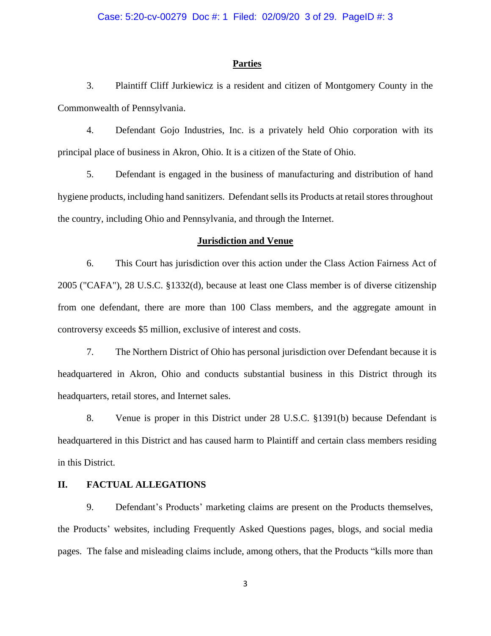## **Parties**

3. Plaintiff Cliff Jurkiewicz is a resident and citizen of Montgomery County in the Commonwealth of Pennsylvania.

4. Defendant Gojo Industries, Inc. is a privately held Ohio corporation with its principal place of business in Akron, Ohio. It is a citizen of the State of Ohio.

5. Defendant is engaged in the business of manufacturing and distribution of hand hygiene products, including hand sanitizers. Defendant sells its Products at retail stores throughout the country, including Ohio and Pennsylvania, and through the Internet.

## **Jurisdiction and Venue**

6. This Court has jurisdiction over this action under the Class Action Fairness Act of 2005 ("CAFA"), 28 U.S.C. §1332(d), because at least one Class member is of diverse citizenship from one defendant, there are more than 100 Class members, and the aggregate amount in controversy exceeds \$5 million, exclusive of interest and costs.

7. The Northern District of Ohio has personal jurisdiction over Defendant because it is headquartered in Akron, Ohio and conducts substantial business in this District through its headquarters, retail stores, and Internet sales.

8. Venue is proper in this District under 28 U.S.C. §1391(b) because Defendant is headquartered in this District and has caused harm to Plaintiff and certain class members residing in this District.

## **II. FACTUAL ALLEGATIONS**

9. Defendant's Products' marketing claims are present on the Products themselves, the Products' websites, including Frequently Asked Questions pages, blogs, and social media pages. The false and misleading claims include, among others, that the Products "kills more than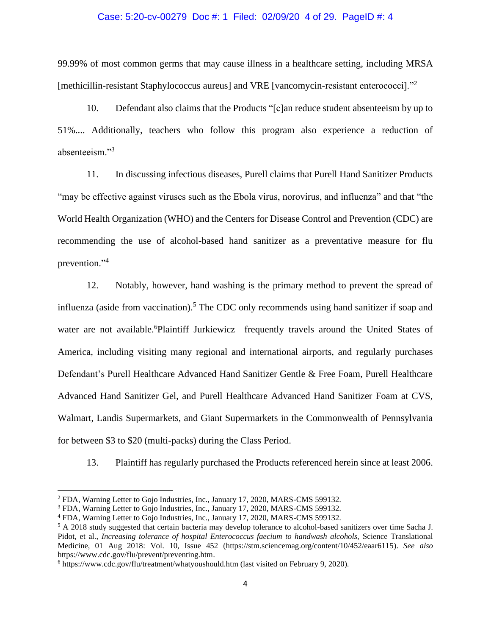## Case: 5:20-cv-00279 Doc #: 1 Filed: 02/09/20 4 of 29. PageID #: 4

99.99% of most common germs that may cause illness in a healthcare setting, including MRSA [methicillin-resistant Staphylococcus aureus] and VRE [vancomycin-resistant enterococci]."<sup>2</sup>

10. Defendant also claims that the Products "[c]an reduce student absenteeism by up to 51%.... Additionally, teachers who follow this program also experience a reduction of absenteeism."<sup>3</sup>

11. In discussing infectious diseases, Purell claims that Purell Hand Sanitizer Products "may be effective against viruses such as the Ebola virus, norovirus, and influenza" and that "the World Health Organization (WHO) and the Centers for Disease Control and Prevention (CDC) are recommending the use of alcohol-based hand sanitizer as a preventative measure for flu prevention." 4

12. Notably, however, hand washing is the primary method to prevent the spread of influenza (aside from vaccination). <sup>5</sup> The CDC only recommends using hand sanitizer if soap and water are not available.<sup>6</sup>Plaintiff Jurkiewicz frequently travels around the United States of America, including visiting many regional and international airports, and regularly purchases Defendant's Purell Healthcare Advanced Hand Sanitizer Gentle & Free Foam, Purell Healthcare Advanced Hand Sanitizer Gel, and Purell Healthcare Advanced Hand Sanitizer Foam at CVS, Walmart, Landis Supermarkets, and Giant Supermarkets in the Commonwealth of Pennsylvania for between \$3 to \$20 (multi-packs) during the Class Period.

13. Plaintiff has regularly purchased the Products referenced herein since at least 2006.

<sup>&</sup>lt;sup>2</sup> FDA, Warning Letter to Gojo Industries, Inc., January 17, 2020, MARS-CMS 599132.

<sup>3</sup> FDA, Warning Letter to Gojo Industries, Inc., January 17, 2020, MARS-CMS 599132.

<sup>4</sup> FDA, Warning Letter to Gojo Industries, Inc., January 17, 2020, MARS-CMS 599132.

<sup>5</sup> A 2018 study suggested that certain bacteria may develop tolerance to alcohol-based sanitizers over time Sacha J. Pidot, et al., *Increasing tolerance of hospital Enterococcus faecium to handwash alcohols,* Science Translational Medicine, 01 Aug 2018: Vol. 10, Issue 452 (https://stm.sciencemag.org/content/10/452/eaar6115). *See also* https://www.cdc.gov/flu/prevent/preventing.htm.

<sup>6</sup> https://www.cdc.gov/flu/treatment/whatyoushould.htm (last visited on February 9, 2020).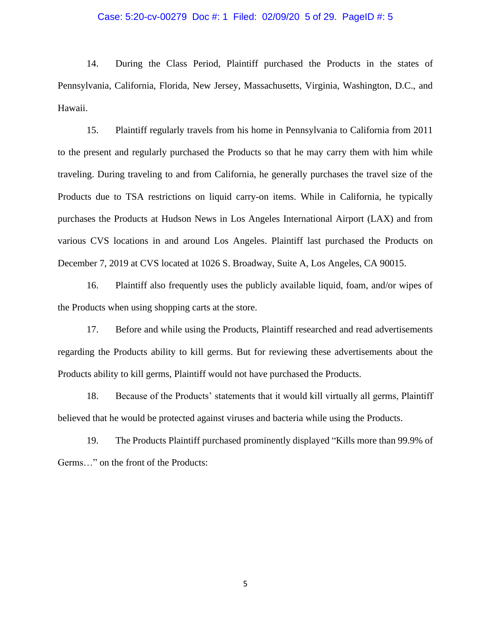## Case: 5:20-cv-00279 Doc #: 1 Filed: 02/09/20 5 of 29. PageID #: 5

14. During the Class Period, Plaintiff purchased the Products in the states of Pennsylvania, California, Florida, New Jersey, Massachusetts, Virginia, Washington, D.C., and Hawaii.

15. Plaintiff regularly travels from his home in Pennsylvania to California from 2011 to the present and regularly purchased the Products so that he may carry them with him while traveling. During traveling to and from California, he generally purchases the travel size of the Products due to TSA restrictions on liquid carry-on items. While in California, he typically purchases the Products at Hudson News in Los Angeles International Airport (LAX) and from various CVS locations in and around Los Angeles. Plaintiff last purchased the Products on December 7, 2019 at CVS located at 1026 S. Broadway, Suite A, Los Angeles, CA 90015.

16. Plaintiff also frequently uses the publicly available liquid, foam, and/or wipes of the Products when using shopping carts at the store.

17. Before and while using the Products, Plaintiff researched and read advertisements regarding the Products ability to kill germs. But for reviewing these advertisements about the Products ability to kill germs, Plaintiff would not have purchased the Products.

18. Because of the Products' statements that it would kill virtually all germs, Plaintiff believed that he would be protected against viruses and bacteria while using the Products.

19. The Products Plaintiff purchased prominently displayed "Kills more than 99.9% of Germs…" on the front of the Products: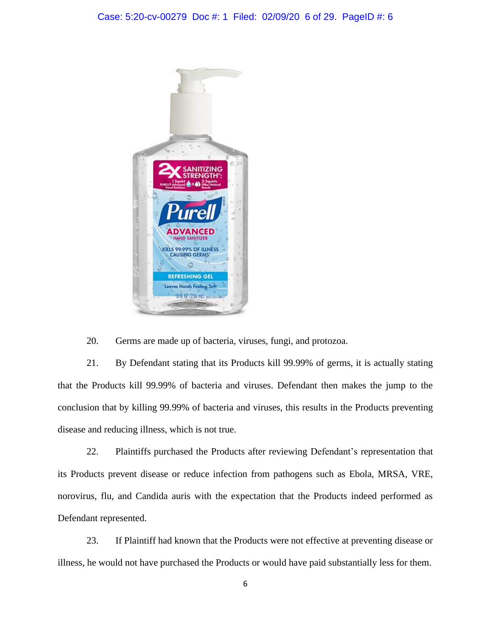

20. Germs are made up of bacteria, viruses, fungi, and protozoa.

21. By Defendant stating that its Products kill 99.99% of germs, it is actually stating that the Products kill 99.99% of bacteria and viruses. Defendant then makes the jump to the conclusion that by killing 99.99% of bacteria and viruses, this results in the Products preventing disease and reducing illness, which is not true.

22. Plaintiffs purchased the Products after reviewing Defendant's representation that its Products prevent disease or reduce infection from pathogens such as Ebola, MRSA, VRE, norovirus, flu, and Candida auris with the expectation that the Products indeed performed as Defendant represented.

23. If Plaintiff had known that the Products were not effective at preventing disease or illness, he would not have purchased the Products or would have paid substantially less for them.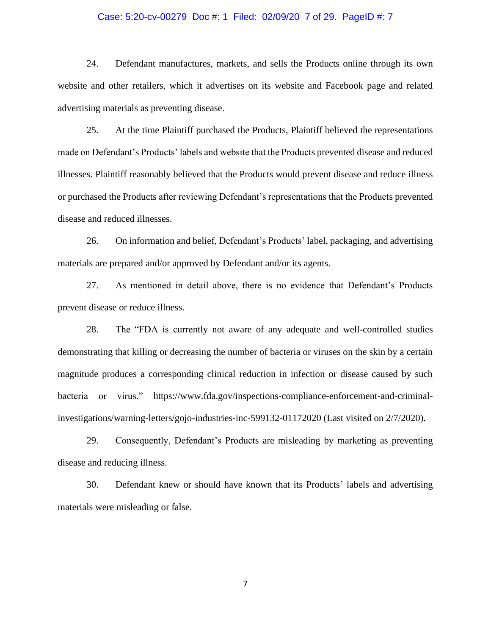## Case: 5:20-cv-00279 Doc #: 1 Filed: 02/09/20 7 of 29. PageID #: 7

24. Defendant manufactures, markets, and sells the Products online through its own website and other retailers, which it advertises on its website and Facebook page and related advertising materials as preventing disease.

25. At the time Plaintiff purchased the Products, Plaintiff believed the representations made on Defendant's Products' labels and website that the Products prevented disease and reduced illnesses. Plaintiff reasonably believed that the Products would prevent disease and reduce illness or purchased the Products after reviewing Defendant's representations that the Products prevented disease and reduced illnesses.

26. On information and belief, Defendant's Products' label, packaging, and advertising materials are prepared and/or approved by Defendant and/or its agents.

27. As mentioned in detail above, there is no evidence that Defendant's Products prevent disease or reduce illness.

28. The "FDA is currently not aware of any adequate and well-controlled studies demonstrating that killing or decreasing the number of bacteria or viruses on the skin by a certain magnitude produces a corresponding clinical reduction in infection or disease caused by such bacteria or virus." https://www.fda.gov/inspections-compliance-enforcement-and-criminalinvestigations/warning-letters/gojo-industries-inc-599132-01172020 (Last visited on 2/7/2020).

29. Consequently, Defendant's Products are misleading by marketing as preventing disease and reducing illness.

30. Defendant knew or should have known that its Products' labels and advertising materials were misleading or false.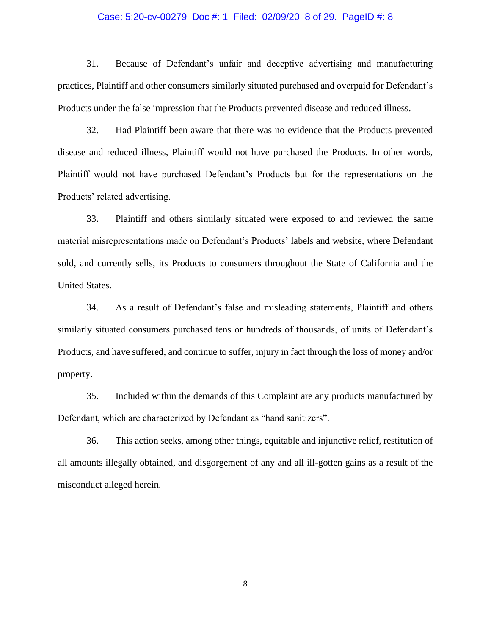## Case: 5:20-cv-00279 Doc #: 1 Filed: 02/09/20 8 of 29. PageID #: 8

31. Because of Defendant's unfair and deceptive advertising and manufacturing practices, Plaintiff and other consumers similarly situated purchased and overpaid for Defendant's Products under the false impression that the Products prevented disease and reduced illness.

32. Had Plaintiff been aware that there was no evidence that the Products prevented disease and reduced illness, Plaintiff would not have purchased the Products. In other words, Plaintiff would not have purchased Defendant's Products but for the representations on the Products' related advertising.

33. Plaintiff and others similarly situated were exposed to and reviewed the same material misrepresentations made on Defendant's Products' labels and website, where Defendant sold, and currently sells, its Products to consumers throughout the State of California and the United States.

34. As a result of Defendant's false and misleading statements, Plaintiff and others similarly situated consumers purchased tens or hundreds of thousands, of units of Defendant's Products, and have suffered, and continue to suffer, injury in fact through the loss of money and/or property.

35. Included within the demands of this Complaint are any products manufactured by Defendant, which are characterized by Defendant as "hand sanitizers".

36. This action seeks, among other things, equitable and injunctive relief, restitution of all amounts illegally obtained, and disgorgement of any and all ill-gotten gains as a result of the misconduct alleged herein.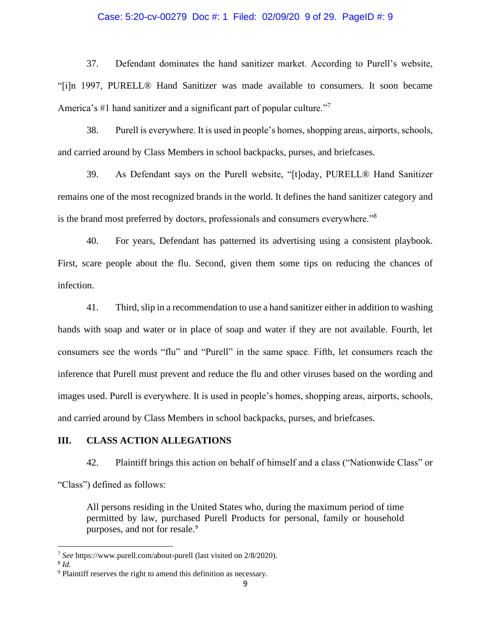#### Case: 5:20-cv-00279 Doc #: 1 Filed: 02/09/20 9 of 29. PageID #: 9

37. Defendant dominates the hand sanitizer market. According to Purell's website, "[i]n 1997, PURELL® Hand Sanitizer was made available to consumers. It soon became America's #1 hand sanitizer and a significant part of popular culture."<sup>7</sup>

38. Purell is everywhere. It is used in people's homes, shopping areas, airports, schools, and carried around by Class Members in school backpacks, purses, and briefcases.

39. As Defendant says on the Purell website, "[t]oday, PURELL® Hand Sanitizer remains one of the most recognized brands in the world. It defines the hand sanitizer category and is the brand most preferred by doctors, professionals and consumers everywhere."<sup>8</sup>

40. For years, Defendant has patterned its advertising using a consistent playbook. First, scare people about the flu. Second, given them some tips on reducing the chances of infection.

41. Third, slip in a recommendation to use a hand sanitizer either in addition to washing hands with soap and water or in place of soap and water if they are not available. Fourth, let consumers see the words "flu" and "Purell" in the same space. Fifth, let consumers reach the inference that Purell must prevent and reduce the flu and other viruses based on the wording and images used. Purell is everywhere. It is used in people's homes, shopping areas, airports, schools, and carried around by Class Members in school backpacks, purses, and briefcases.

## **III. CLASS ACTION ALLEGATIONS**

42. Plaintiff brings this action on behalf of himself and a class ("Nationwide Class" or

"Class") defined as follows:

All persons residing in the United States who, during the maximum period of time permitted by law, purchased Purell Products for personal, family or household purposes, and not for resale.<sup>9</sup>

<sup>7</sup> *See* https://www.purell.com/about-purell (last visited on 2/8/2020).

<sup>8</sup> *Id.*

<sup>9</sup> Plaintiff reserves the right to amend this definition as necessary.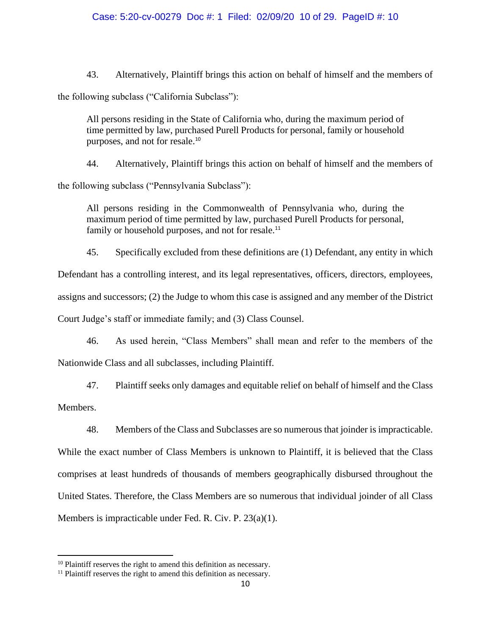## Case: 5:20-cv-00279 Doc #: 1 Filed: 02/09/20 10 of 29. PageID #: 10

43. Alternatively, Plaintiff brings this action on behalf of himself and the members of

the following subclass ("California Subclass"):

All persons residing in the State of California who, during the maximum period of time permitted by law, purchased Purell Products for personal, family or household purposes, and not for resale.<sup>10</sup>

44. Alternatively, Plaintiff brings this action on behalf of himself and the members of

the following subclass ("Pennsylvania Subclass"):

All persons residing in the Commonwealth of Pennsylvania who, during the maximum period of time permitted by law, purchased Purell Products for personal, family or household purposes, and not for resale.<sup>11</sup>

45. Specifically excluded from these definitions are (1) Defendant, any entity in which Defendant has a controlling interest, and its legal representatives, officers, directors, employees, assigns and successors; (2) the Judge to whom this case is assigned and any member of the District Court Judge's staff or immediate family; and (3) Class Counsel.

46. As used herein, "Class Members" shall mean and refer to the members of the Nationwide Class and all subclasses, including Plaintiff.

47. Plaintiff seeks only damages and equitable relief on behalf of himself and the Class

Members.

48. Members of the Class and Subclasses are so numerous that joinder is impracticable.

While the exact number of Class Members is unknown to Plaintiff, it is believed that the Class comprises at least hundreds of thousands of members geographically disbursed throughout the United States. Therefore, the Class Members are so numerous that individual joinder of all Class Members is impracticable under Fed. R. Civ. P. 23(a)(1).

<sup>&</sup>lt;sup>10</sup> Plaintiff reserves the right to amend this definition as necessary.

<sup>&</sup>lt;sup>11</sup> Plaintiff reserves the right to amend this definition as necessary.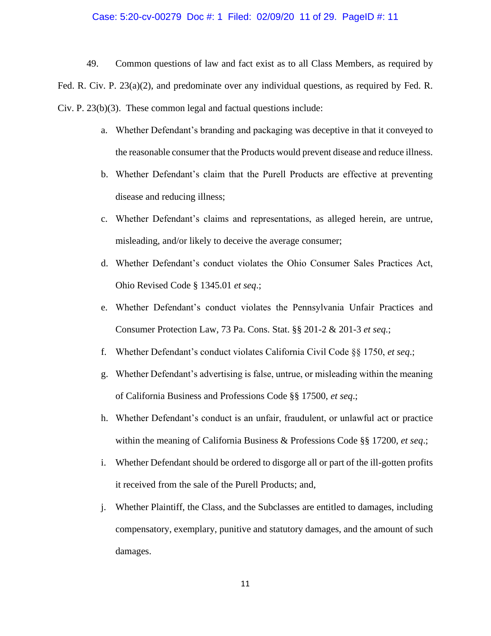## Case: 5:20-cv-00279 Doc #: 1 Filed: 02/09/20 11 of 29. PageID #: 11

49. Common questions of law and fact exist as to all Class Members, as required by Fed. R. Civ. P. 23(a)(2), and predominate over any individual questions, as required by Fed. R. Civ. P. 23(b)(3). These common legal and factual questions include:

- a. Whether Defendant's branding and packaging was deceptive in that it conveyed to the reasonable consumer that the Products would prevent disease and reduce illness.
- b. Whether Defendant's claim that the Purell Products are effective at preventing disease and reducing illness;
- c. Whether Defendant's claims and representations, as alleged herein, are untrue, misleading, and/or likely to deceive the average consumer;
- d. Whether Defendant's conduct violates the Ohio Consumer Sales Practices Act, Ohio Revised Code § 1345.01 *et seq*.;
- e. Whether Defendant's conduct violates the Pennsylvania Unfair Practices and Consumer Protection Law, 73 Pa. Cons. Stat. §§ 201-2 & 201-3 *et seq.*;
- f. Whether Defendant's conduct violates California Civil Code §§ 1750, *et seq*.;
- g. Whether Defendant's advertising is false, untrue, or misleading within the meaning of California Business and Professions Code §§ 17500, *et seq*.;
- h. Whether Defendant's conduct is an unfair, fraudulent, or unlawful act or practice within the meaning of California Business & Professions Code §§ 17200, *et seq*.;
- i. Whether Defendant should be ordered to disgorge all or part of the ill-gotten profits it received from the sale of the Purell Products; and,
- j. Whether Plaintiff, the Class, and the Subclasses are entitled to damages, including compensatory, exemplary, punitive and statutory damages, and the amount of such damages.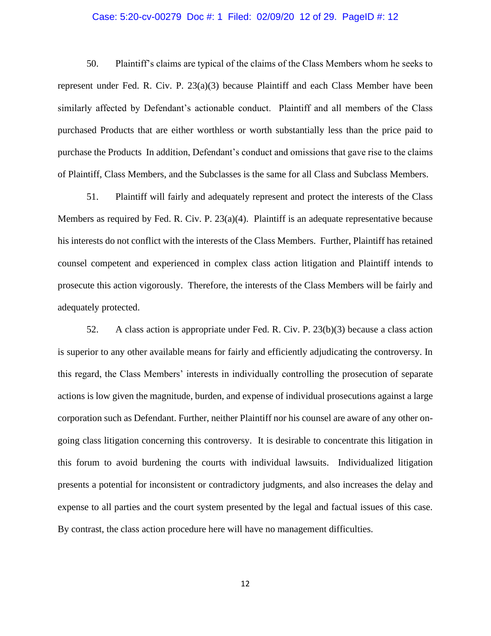## Case: 5:20-cv-00279 Doc #: 1 Filed: 02/09/20 12 of 29. PageID #: 12

50. Plaintiff's claims are typical of the claims of the Class Members whom he seeks to represent under Fed. R. Civ. P. 23(a)(3) because Plaintiff and each Class Member have been similarly affected by Defendant's actionable conduct. Plaintiff and all members of the Class purchased Products that are either worthless or worth substantially less than the price paid to purchase the Products In addition, Defendant's conduct and omissions that gave rise to the claims of Plaintiff, Class Members, and the Subclasses is the same for all Class and Subclass Members.

51. Plaintiff will fairly and adequately represent and protect the interests of the Class Members as required by Fed. R. Civ. P.  $23(a)(4)$ . Plaintiff is an adequate representative because his interests do not conflict with the interests of the Class Members. Further, Plaintiff has retained counsel competent and experienced in complex class action litigation and Plaintiff intends to prosecute this action vigorously. Therefore, the interests of the Class Members will be fairly and adequately protected.

52. A class action is appropriate under Fed. R. Civ. P. 23(b)(3) because a class action is superior to any other available means for fairly and efficiently adjudicating the controversy. In this regard, the Class Members' interests in individually controlling the prosecution of separate actions is low given the magnitude, burden, and expense of individual prosecutions against a large corporation such as Defendant. Further, neither Plaintiff nor his counsel are aware of any other ongoing class litigation concerning this controversy. It is desirable to concentrate this litigation in this forum to avoid burdening the courts with individual lawsuits. Individualized litigation presents a potential for inconsistent or contradictory judgments, and also increases the delay and expense to all parties and the court system presented by the legal and factual issues of this case. By contrast, the class action procedure here will have no management difficulties.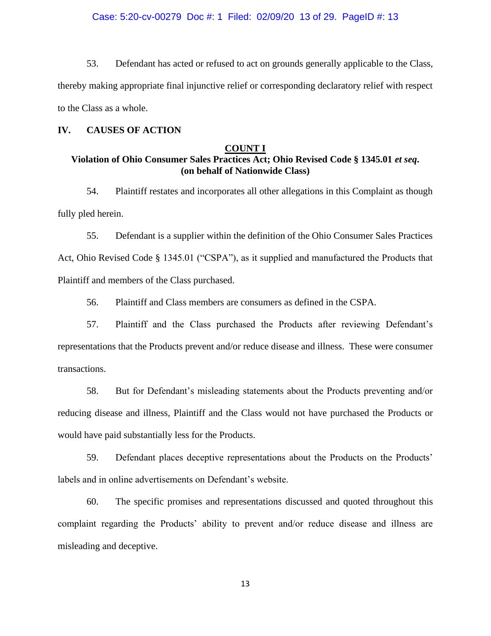## Case: 5:20-cv-00279 Doc #: 1 Filed: 02/09/20 13 of 29. PageID #: 13

53. Defendant has acted or refused to act on grounds generally applicable to the Class, thereby making appropriate final injunctive relief or corresponding declaratory relief with respect to the Class as a whole.

## **IV. CAUSES OF ACTION**

## **COUNT I**

## **Violation of Ohio Consumer Sales Practices Act; Ohio Revised Code § 1345.01** *et seq***. (on behalf of Nationwide Class)**

54. Plaintiff restates and incorporates all other allegations in this Complaint as though fully pled herein.

55. Defendant is a supplier within the definition of the Ohio Consumer Sales Practices Act, Ohio Revised Code § 1345.01 ("CSPA"), as it supplied and manufactured the Products that Plaintiff and members of the Class purchased.

56. Plaintiff and Class members are consumers as defined in the CSPA.

57. Plaintiff and the Class purchased the Products after reviewing Defendant's representations that the Products prevent and/or reduce disease and illness. These were consumer transactions.

58. But for Defendant's misleading statements about the Products preventing and/or reducing disease and illness, Plaintiff and the Class would not have purchased the Products or would have paid substantially less for the Products.

59. Defendant places deceptive representations about the Products on the Products' labels and in online advertisements on Defendant's website.

60. The specific promises and representations discussed and quoted throughout this complaint regarding the Products' ability to prevent and/or reduce disease and illness are misleading and deceptive.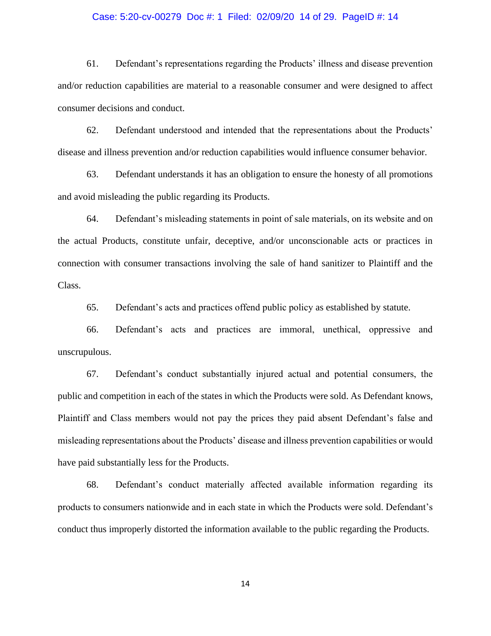#### Case: 5:20-cv-00279 Doc #: 1 Filed: 02/09/20 14 of 29. PageID #: 14

61. Defendant's representations regarding the Products' illness and disease prevention and/or reduction capabilities are material to a reasonable consumer and were designed to affect consumer decisions and conduct.

62. Defendant understood and intended that the representations about the Products' disease and illness prevention and/or reduction capabilities would influence consumer behavior.

63. Defendant understands it has an obligation to ensure the honesty of all promotions and avoid misleading the public regarding its Products.

64. Defendant's misleading statements in point of sale materials, on its website and on the actual Products, constitute unfair, deceptive, and/or unconscionable acts or practices in connection with consumer transactions involving the sale of hand sanitizer to Plaintiff and the Class.

65. Defendant's acts and practices offend public policy as established by statute.

66. Defendant's acts and practices are immoral, unethical, oppressive and unscrupulous.

67. Defendant's conduct substantially injured actual and potential consumers, the public and competition in each of the states in which the Products were sold. As Defendant knows, Plaintiff and Class members would not pay the prices they paid absent Defendant's false and misleading representations about the Products' disease and illness prevention capabilities or would have paid substantially less for the Products.

68. Defendant's conduct materially affected available information regarding its products to consumers nationwide and in each state in which the Products were sold. Defendant's conduct thus improperly distorted the information available to the public regarding the Products.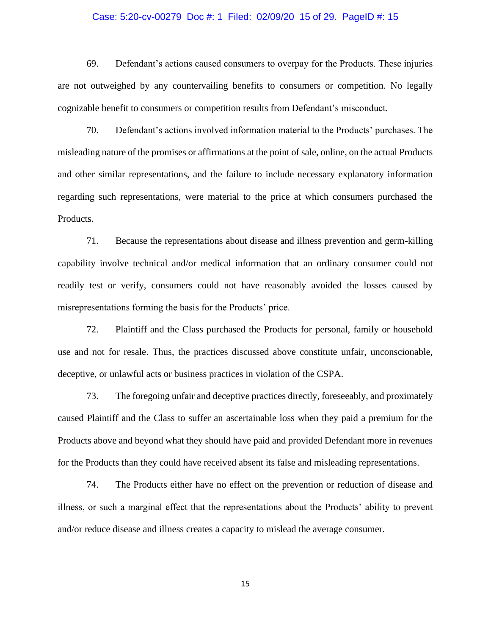## Case: 5:20-cv-00279 Doc #: 1 Filed: 02/09/20 15 of 29. PageID #: 15

69. Defendant's actions caused consumers to overpay for the Products. These injuries are not outweighed by any countervailing benefits to consumers or competition. No legally cognizable benefit to consumers or competition results from Defendant's misconduct.

70. Defendant's actions involved information material to the Products' purchases. The misleading nature of the promises or affirmations at the point of sale, online, on the actual Products and other similar representations, and the failure to include necessary explanatory information regarding such representations, were material to the price at which consumers purchased the Products.

71. Because the representations about disease and illness prevention and germ-killing capability involve technical and/or medical information that an ordinary consumer could not readily test or verify, consumers could not have reasonably avoided the losses caused by misrepresentations forming the basis for the Products' price.

72. Plaintiff and the Class purchased the Products for personal, family or household use and not for resale. Thus, the practices discussed above constitute unfair, unconscionable, deceptive, or unlawful acts or business practices in violation of the CSPA.

73. The foregoing unfair and deceptive practices directly, foreseeably, and proximately caused Plaintiff and the Class to suffer an ascertainable loss when they paid a premium for the Products above and beyond what they should have paid and provided Defendant more in revenues for the Products than they could have received absent its false and misleading representations.

74. The Products either have no effect on the prevention or reduction of disease and illness, or such a marginal effect that the representations about the Products' ability to prevent and/or reduce disease and illness creates a capacity to mislead the average consumer.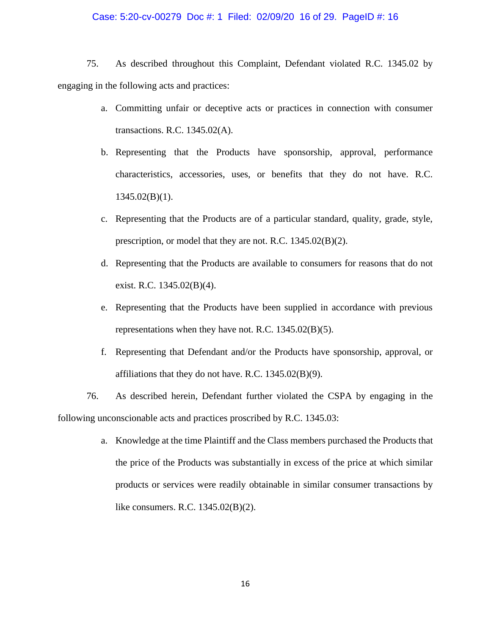## Case: 5:20-cv-00279 Doc #: 1 Filed: 02/09/20 16 of 29. PageID #: 16

75. As described throughout this Complaint, Defendant violated R.C. 1345.02 by engaging in the following acts and practices:

- a. Committing unfair or deceptive acts or practices in connection with consumer transactions. R.C. 1345.02(A).
- b. Representing that the Products have sponsorship, approval, performance characteristics, accessories, uses, or benefits that they do not have. R.C.  $1345.02(B)(1)$ .
- c. Representing that the Products are of a particular standard, quality, grade, style, prescription, or model that they are not. R.C. 1345.02(B)(2).
- d. Representing that the Products are available to consumers for reasons that do not exist. R.C. 1345.02(B)(4).
- e. Representing that the Products have been supplied in accordance with previous representations when they have not. R.C. 1345.02(B)(5).
- f. Representing that Defendant and/or the Products have sponsorship, approval, or affiliations that they do not have. R.C. 1345.02(B)(9).

76. As described herein, Defendant further violated the CSPA by engaging in the following unconscionable acts and practices proscribed by R.C. 1345.03:

> a. Knowledge at the time Plaintiff and the Class members purchased the Products that the price of the Products was substantially in excess of the price at which similar products or services were readily obtainable in similar consumer transactions by like consumers. R.C. 1345.02(B)(2).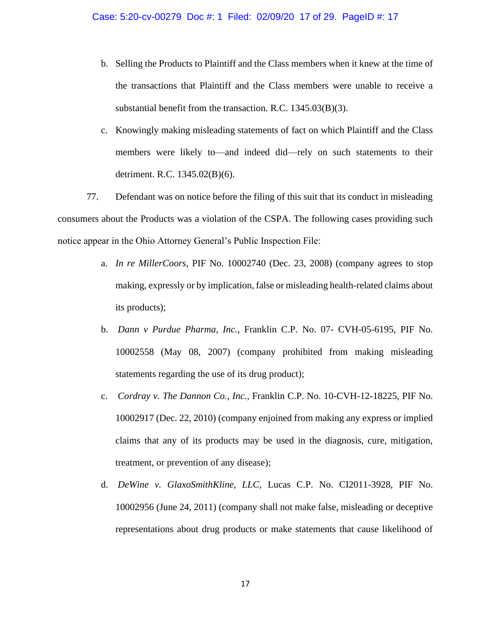- b. Selling the Products to Plaintiff and the Class members when it knew at the time of the transactions that Plaintiff and the Class members were unable to receive a substantial benefit from the transaction. R.C. 1345.03(B)(3).
- c. Knowingly making misleading statements of fact on which Plaintiff and the Class members were likely to—and indeed did—rely on such statements to their detriment. R.C. 1345.02(B)(6).

77. Defendant was on notice before the filing of this suit that its conduct in misleading consumers about the Products was a violation of the CSPA. The following cases providing such notice appear in the Ohio Attorney General's Public Inspection File:

- a. *In re MillerCoors*, PIF No. 10002740 (Dec. 23, 2008) (company agrees to stop making, expressly or by implication, false or misleading health-related claims about its products);
- b. *Dann v Purdue Pharma, Inc.*, Franklin C.P. No. 07- CVH-05-6195, PIF No. 10002558 (May 08, 2007) (company prohibited from making misleading statements regarding the use of its drug product);
- c. *Cordray v. The Dannon Co., Inc.*, Franklin C.P. No. 10-CVH-12-18225, PIF No. 10002917 (Dec. 22, 2010) (company enjoined from making any express or implied claims that any of its products may be used in the diagnosis, cure, mitigation, treatment, or prevention of any disease);
- d. *DeWine v. GlaxoSmithKline, LLC*, Lucas C.P. No. CI2011-3928, PIF No. 10002956 (June 24, 2011) (company shall not make false, misleading or deceptive representations about drug products or make statements that cause likelihood of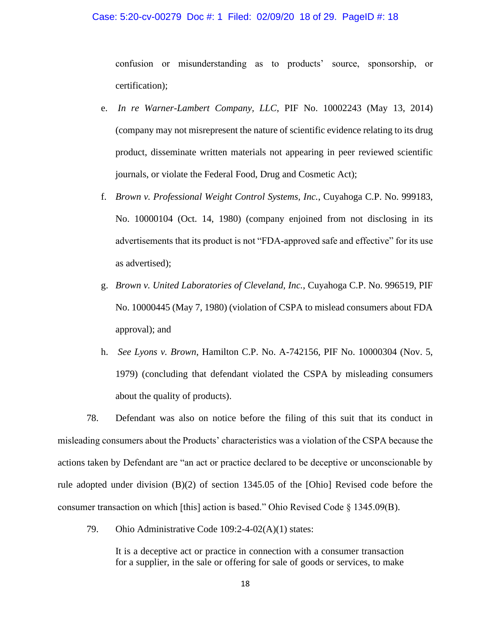#### Case: 5:20-cv-00279 Doc #: 1 Filed: 02/09/20 18 of 29. PageID #: 18

confusion or misunderstanding as to products' source, sponsorship, or certification);

- e. *In re Warner-Lambert Company, LLC*, PIF No. 10002243 (May 13, 2014) (company may not misrepresent the nature of scientific evidence relating to its drug product, disseminate written materials not appearing in peer reviewed scientific journals, or violate the Federal Food, Drug and Cosmetic Act);
- f. *Brown v. Professional Weight Control Systems, Inc.*, Cuyahoga C.P. No. 999183, No. 10000104 (Oct. 14, 1980) (company enjoined from not disclosing in its advertisements that its product is not "FDA-approved safe and effective" for its use as advertised);
- g. *Brown v. United Laboratories of Cleveland, Inc.*, Cuyahoga C.P. No. 996519, PIF No. 10000445 (May 7, 1980) (violation of CSPA to mislead consumers about FDA approval); and
- h. *See Lyons v. Brown*, Hamilton C.P. No. A-742156, PIF No. 10000304 (Nov. 5, 1979) (concluding that defendant violated the CSPA by misleading consumers about the quality of products).

78. Defendant was also on notice before the filing of this suit that its conduct in misleading consumers about the Products' characteristics was a violation of the CSPA because the actions taken by Defendant are "an act or practice declared to be deceptive or unconscionable by rule adopted under division (B)(2) of section 1345.05 of the [Ohio] Revised code before the consumer transaction on which [this] action is based." Ohio Revised Code § 1345.09(B).

79. Ohio Administrative Code 109:2-4-02(A)(1) states:

It is a deceptive act or practice in connection with a consumer transaction for a supplier, in the sale or offering for sale of goods or services, to make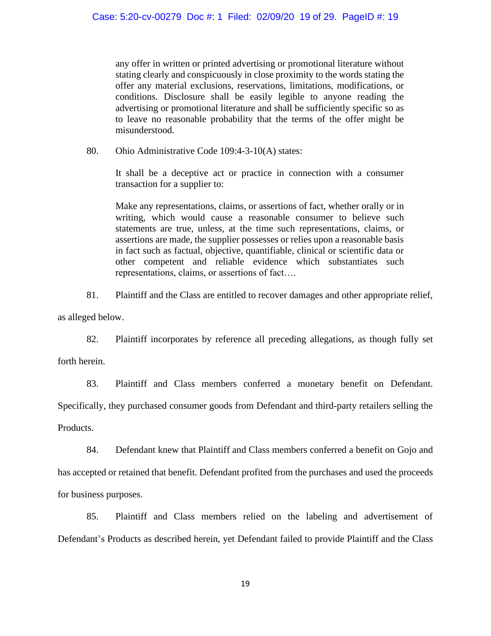any offer in written or printed advertising or promotional literature without stating clearly and conspicuously in close proximity to the words stating the offer any material exclusions, reservations, limitations, modifications, or conditions. Disclosure shall be easily legible to anyone reading the advertising or promotional literature and shall be sufficiently specific so as to leave no reasonable probability that the terms of the offer might be misunderstood.

80. Ohio Administrative Code 109:4-3-10(A) states:

It shall be a deceptive act or practice in connection with a consumer transaction for a supplier to:

Make any representations, claims, or assertions of fact, whether orally or in writing, which would cause a reasonable consumer to believe such statements are true, unless, at the time such representations, claims, or assertions are made, the supplier possesses or relies upon a reasonable basis in fact such as factual, objective, quantifiable, clinical or scientific data or other competent and reliable evidence which substantiates such representations, claims, or assertions of fact….

81. Plaintiff and the Class are entitled to recover damages and other appropriate relief,

as alleged below.

82. Plaintiff incorporates by reference all preceding allegations, as though fully set

forth herein.

83. Plaintiff and Class members conferred a monetary benefit on Defendant. Specifically, they purchased consumer goods from Defendant and third-party retailers selling the Products.

84. Defendant knew that Plaintiff and Class members conferred a benefit on Gojo and has accepted or retained that benefit. Defendant profited from the purchases and used the proceeds for business purposes.

85. Plaintiff and Class members relied on the labeling and advertisement of Defendant's Products as described herein, yet Defendant failed to provide Plaintiff and the Class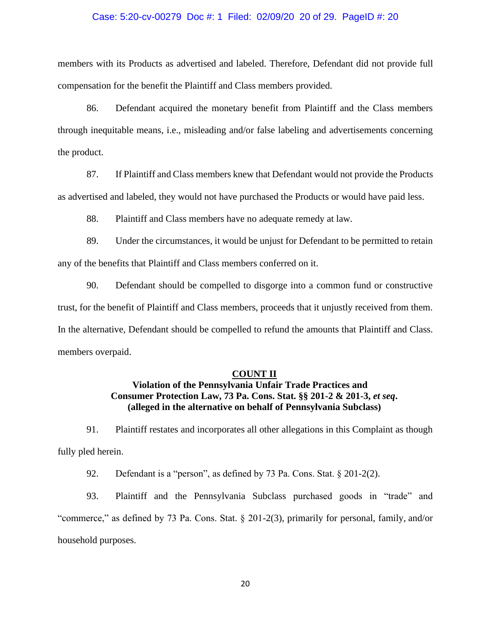#### Case: 5:20-cv-00279 Doc #: 1 Filed: 02/09/20 20 of 29. PageID #: 20

members with its Products as advertised and labeled. Therefore, Defendant did not provide full compensation for the benefit the Plaintiff and Class members provided.

86. Defendant acquired the monetary benefit from Plaintiff and the Class members through inequitable means, i.e., misleading and/or false labeling and advertisements concerning the product.

87. If Plaintiff and Class members knew that Defendant would not provide the Products as advertised and labeled, they would not have purchased the Products or would have paid less.

88. Plaintiff and Class members have no adequate remedy at law.

89. Under the circumstances, it would be unjust for Defendant to be permitted to retain any of the benefits that Plaintiff and Class members conferred on it.

90. Defendant should be compelled to disgorge into a common fund or constructive trust, for the benefit of Plaintiff and Class members, proceeds that it unjustly received from them. In the alternative, Defendant should be compelled to refund the amounts that Plaintiff and Class. members overpaid.

## **COUNT II**

## **Violation of the Pennsylvania Unfair Trade Practices and Consumer Protection Law, 73 Pa. Cons. Stat. §§ 201-2 & 201-3,** *et seq***. (alleged in the alternative on behalf of Pennsylvania Subclass)**

91. Plaintiff restates and incorporates all other allegations in this Complaint as though fully pled herein.

92. Defendant is a "person", as defined by 73 Pa. Cons. Stat. § 201-2(2).

93. Plaintiff and the Pennsylvania Subclass purchased goods in "trade" and "commerce," as defined by 73 Pa. Cons. Stat. § 201-2(3), primarily for personal, family, and/or household purposes.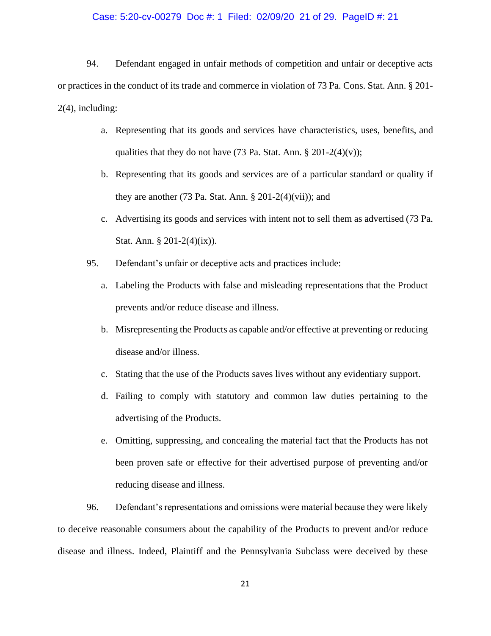## Case: 5:20-cv-00279 Doc #: 1 Filed: 02/09/20 21 of 29. PageID #: 21

94. Defendant engaged in unfair methods of competition and unfair or deceptive acts or practices in the conduct of its trade and commerce in violation of 73 Pa. Cons. Stat. Ann. § 201- 2(4), including:

- a. Representing that its goods and services have characteristics, uses, benefits, and qualities that they do not have  $(73 \text{ Pa. Stat. Ann. } § 201-2(4)(v));$
- b. Representing that its goods and services are of a particular standard or quality if they are another (73 Pa. Stat. Ann.  $\S 201-2(4)(vii)$ ); and
- c. Advertising its goods and services with intent not to sell them as advertised (73 Pa. Stat. Ann.  $\S 201-2(4)(ix)$ .
- 95. Defendant's unfair or deceptive acts and practices include:
	- a. Labeling the Products with false and misleading representations that the Product prevents and/or reduce disease and illness.
	- b. Misrepresenting the Products as capable and/or effective at preventing or reducing disease and/or illness.
	- c. Stating that the use of the Products saves lives without any evidentiary support.
	- d. Failing to comply with statutory and common law duties pertaining to the advertising of the Products.
	- e. Omitting, suppressing, and concealing the material fact that the Products has not been proven safe or effective for their advertised purpose of preventing and/or reducing disease and illness.

96. Defendant's representations and omissions were material because they were likely to deceive reasonable consumers about the capability of the Products to prevent and/or reduce disease and illness. Indeed, Plaintiff and the Pennsylvania Subclass were deceived by these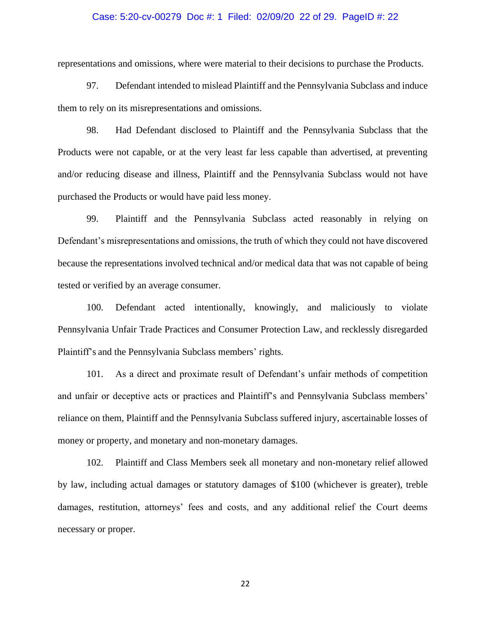## Case: 5:20-cv-00279 Doc #: 1 Filed: 02/09/20 22 of 29. PageID #: 22

representations and omissions, where were material to their decisions to purchase the Products.

97. Defendant intended to mislead Plaintiff and the Pennsylvania Subclass and induce them to rely on its misrepresentations and omissions.

98. Had Defendant disclosed to Plaintiff and the Pennsylvania Subclass that the Products were not capable, or at the very least far less capable than advertised, at preventing and/or reducing disease and illness, Plaintiff and the Pennsylvania Subclass would not have purchased the Products or would have paid less money.

99. Plaintiff and the Pennsylvania Subclass acted reasonably in relying on Defendant's misrepresentations and omissions, the truth of which they could not have discovered because the representations involved technical and/or medical data that was not capable of being tested or verified by an average consumer.

100. Defendant acted intentionally, knowingly, and maliciously to violate Pennsylvania Unfair Trade Practices and Consumer Protection Law, and recklessly disregarded Plaintiff's and the Pennsylvania Subclass members' rights.

101. As a direct and proximate result of Defendant's unfair methods of competition and unfair or deceptive acts or practices and Plaintiff's and Pennsylvania Subclass members' reliance on them, Plaintiff and the Pennsylvania Subclass suffered injury, ascertainable losses of money or property, and monetary and non-monetary damages.

102. Plaintiff and Class Members seek all monetary and non-monetary relief allowed by law, including actual damages or statutory damages of \$100 (whichever is greater), treble damages, restitution, attorneys' fees and costs, and any additional relief the Court deems necessary or proper.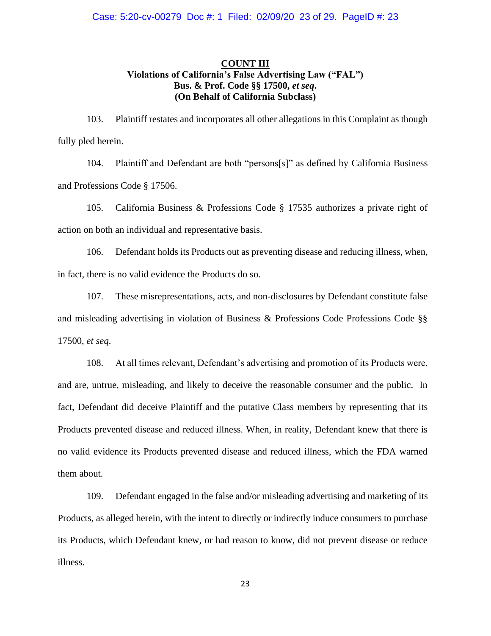## **COUNT III Violations of California's False Advertising Law ("FAL") Bus. & Prof. Code §§ 17500,** *et seq***. (On Behalf of California Subclass)**

103. Plaintiff restates and incorporates all other allegations in this Complaint as though fully pled herein.

104. Plaintiff and Defendant are both "persons[s]" as defined by California Business and Professions Code § 17506.

105. California Business & Professions Code § 17535 authorizes a private right of action on both an individual and representative basis.

106. Defendant holds its Products out as preventing disease and reducing illness, when, in fact, there is no valid evidence the Products do so.

107. These misrepresentations, acts, and non-disclosures by Defendant constitute false and misleading advertising in violation of Business & Professions Code Professions Code §§ 17500, *et seq*.

108. At all times relevant, Defendant's advertising and promotion of its Products were, and are, untrue, misleading, and likely to deceive the reasonable consumer and the public. In fact, Defendant did deceive Plaintiff and the putative Class members by representing that its Products prevented disease and reduced illness. When, in reality, Defendant knew that there is no valid evidence its Products prevented disease and reduced illness, which the FDA warned them about.

109. Defendant engaged in the false and/or misleading advertising and marketing of its Products, as alleged herein, with the intent to directly or indirectly induce consumers to purchase its Products, which Defendant knew, or had reason to know, did not prevent disease or reduce illness.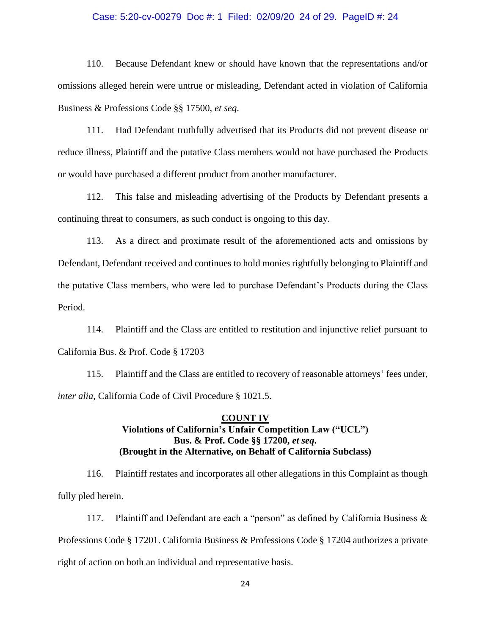#### Case: 5:20-cv-00279 Doc #: 1 Filed: 02/09/20 24 of 29. PageID #: 24

110. Because Defendant knew or should have known that the representations and/or omissions alleged herein were untrue or misleading, Defendant acted in violation of California Business & Professions Code §§ 17500, *et seq*.

111. Had Defendant truthfully advertised that its Products did not prevent disease or reduce illness, Plaintiff and the putative Class members would not have purchased the Products or would have purchased a different product from another manufacturer.

112. This false and misleading advertising of the Products by Defendant presents a continuing threat to consumers, as such conduct is ongoing to this day.

113. As a direct and proximate result of the aforementioned acts and omissions by Defendant, Defendant received and continues to hold monies rightfully belonging to Plaintiff and the putative Class members, who were led to purchase Defendant's Products during the Class Period.

114. Plaintiff and the Class are entitled to restitution and injunctive relief pursuant to California Bus. & Prof. Code § 17203

115. Plaintiff and the Class are entitled to recovery of reasonable attorneys' fees under, *inter alia*, California Code of Civil Procedure § 1021.5.

## **COUNT IV Violations of California's Unfair Competition Law ("UCL") Bus. & Prof. Code §§ 17200,** *et seq***. (Brought in the Alternative, on Behalf of California Subclass)**

116. Plaintiff restates and incorporates all other allegations in this Complaint as though fully pled herein.

117. Plaintiff and Defendant are each a "person" as defined by California Business & Professions Code § 17201. California Business & Professions Code § 17204 authorizes a private right of action on both an individual and representative basis.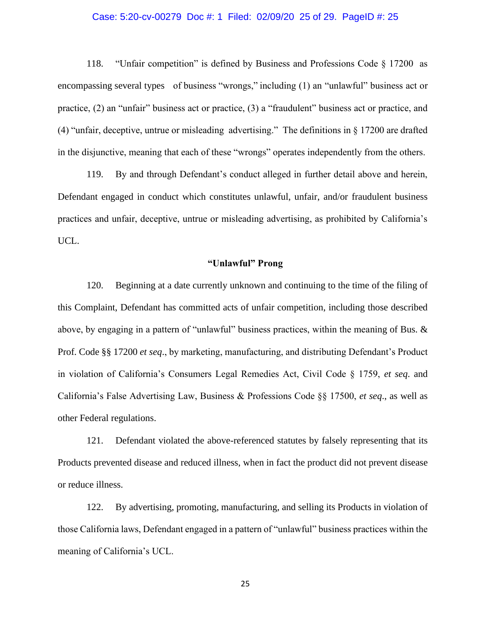## Case: 5:20-cv-00279 Doc #: 1 Filed: 02/09/20 25 of 29. PageID #: 25

118. "Unfair competition" is defined by Business and Professions Code § 17200 as encompassing several types of business "wrongs," including (1) an "unlawful" business act or practice, (2) an "unfair" business act or practice, (3) a "fraudulent" business act or practice, and (4) "unfair, deceptive, untrue or misleading advertising." The definitions in  $\S 17200$  are drafted in the disjunctive, meaning that each of these "wrongs" operates independently from the others.

119. By and through Defendant's conduct alleged in further detail above and herein, Defendant engaged in conduct which constitutes unlawful, unfair, and/or fraudulent business practices and unfair, deceptive, untrue or misleading advertising, as prohibited by California's UCL.

## **"Unlawful" Prong**

120. Beginning at a date currently unknown and continuing to the time of the filing of this Complaint, Defendant has committed acts of unfair competition, including those described above, by engaging in a pattern of "unlawful" business practices, within the meaning of Bus. & Prof. Code §§ 17200 *et seq*., by marketing, manufacturing, and distributing Defendant's Product in violation of California's Consumers Legal Remedies Act, Civil Code § 1759, *et seq*. and California's False Advertising Law, Business & Professions Code §§ 17500, *et seq*., as well as other Federal regulations.

121. Defendant violated the above-referenced statutes by falsely representing that its Products prevented disease and reduced illness, when in fact the product did not prevent disease or reduce illness.

122. By advertising, promoting, manufacturing, and selling its Products in violation of those California laws, Defendant engaged in a pattern of "unlawful" business practices within the meaning of California's UCL.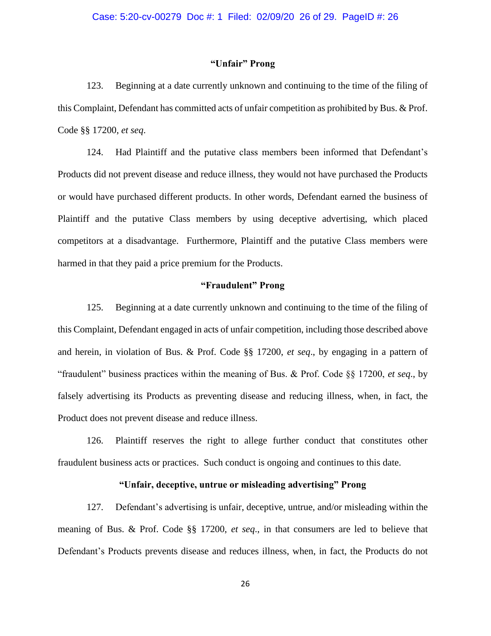## **"Unfair" Prong**

123. Beginning at a date currently unknown and continuing to the time of the filing of this Complaint, Defendant has committed acts of unfair competition as prohibited by Bus. & Prof. Code §§ 17200, *et seq*.

124. Had Plaintiff and the putative class members been informed that Defendant's Products did not prevent disease and reduce illness, they would not have purchased the Products or would have purchased different products. In other words, Defendant earned the business of Plaintiff and the putative Class members by using deceptive advertising, which placed competitors at a disadvantage. Furthermore, Plaintiff and the putative Class members were harmed in that they paid a price premium for the Products.

## **"Fraudulent" Prong**

125. Beginning at a date currently unknown and continuing to the time of the filing of this Complaint, Defendant engaged in acts of unfair competition, including those described above and herein, in violation of Bus. & Prof. Code §§ 17200, *et seq*., by engaging in a pattern of "fraudulent" business practices within the meaning of Bus. & Prof. Code §§ 17200, *et seq*., by falsely advertising its Products as preventing disease and reducing illness, when, in fact, the Product does not prevent disease and reduce illness.

126. Plaintiff reserves the right to allege further conduct that constitutes other fraudulent business acts or practices. Such conduct is ongoing and continues to this date.

## **"Unfair, deceptive, untrue or misleading advertising" Prong**

127. Defendant's advertising is unfair, deceptive, untrue, and/or misleading within the meaning of Bus. & Prof. Code §§ 17200, *et seq*., in that consumers are led to believe that Defendant's Products prevents disease and reduces illness, when, in fact, the Products do not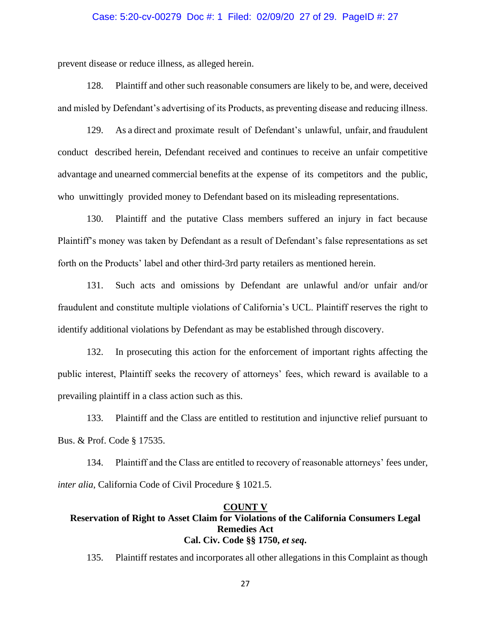## Case: 5:20-cv-00279 Doc #: 1 Filed: 02/09/20 27 of 29. PageID #: 27

prevent disease or reduce illness, as alleged herein.

128. Plaintiff and other such reasonable consumers are likely to be, and were, deceived and misled by Defendant's advertising of its Products, as preventing disease and reducing illness.

129. As a direct and proximate result of Defendant's unlawful, unfair, and fraudulent conduct described herein, Defendant received and continues to receive an unfair competitive advantage and unearned commercial benefits at the expense of its competitors and the public, who unwittingly provided money to Defendant based on its misleading representations.

130. Plaintiff and the putative Class members suffered an injury in fact because Plaintiff's money was taken by Defendant as a result of Defendant's false representations as set forth on the Products' label and other third-3rd party retailers as mentioned herein.

131. Such acts and omissions by Defendant are unlawful and/or unfair and/or fraudulent and constitute multiple violations of California's UCL. Plaintiff reserves the right to identify additional violations by Defendant as may be established through discovery.

132. In prosecuting this action for the enforcement of important rights affecting the public interest, Plaintiff seeks the recovery of attorneys' fees, which reward is available to a prevailing plaintiff in a class action such as this.

133. Plaintiff and the Class are entitled to restitution and injunctive relief pursuant to Bus. & Prof. Code § 17535.

134. Plaintiff and the Class are entitled to recovery of reasonable attorneys' fees under, *inter alia*, California Code of Civil Procedure § 1021.5.

## **COUNT V Reservation of Right to Asset Claim for Violations of the California Consumers Legal Remedies Act Cal. Civ. Code §§ 1750,** *et seq***.**

135. Plaintiff restates and incorporates all other allegations in this Complaint as though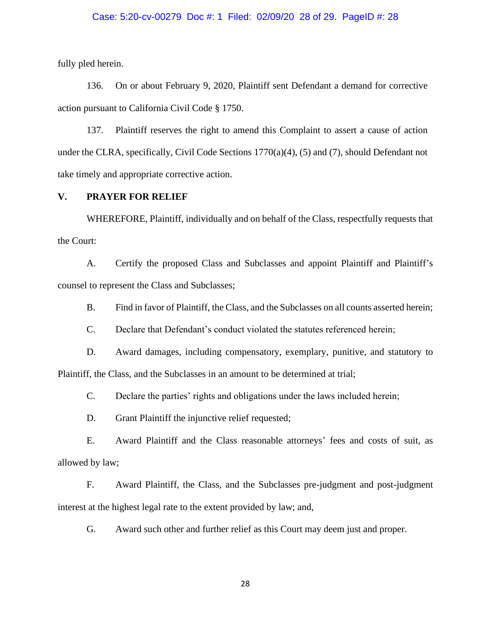#### Case: 5:20-cv-00279 Doc #: 1 Filed: 02/09/20 28 of 29. PageID #: 28

fully pled herein.

136. On or about February 9, 2020, Plaintiff sent Defendant a demand for corrective action pursuant to California Civil Code § 1750.

137. Plaintiff reserves the right to amend this Complaint to assert a cause of action under the CLRA, specifically, Civil Code Sections 1770(a)(4), (5) and (7), should Defendant not take timely and appropriate corrective action.

## **V. PRAYER FOR RELIEF**

WHEREFORE, Plaintiff, individually and on behalf of the Class, respectfully requests that the Court:

A. Certify the proposed Class and Subclasses and appoint Plaintiff and Plaintiff's counsel to represent the Class and Subclasses;

B. Find in favor of Plaintiff, the Class, and the Subclasses on all counts asserted herein;

C. Declare that Defendant's conduct violated the statutes referenced herein;

D. Award damages, including compensatory, exemplary, punitive, and statutory to Plaintiff, the Class, and the Subclasses in an amount to be determined at trial;

C. Declare the parties' rights and obligations under the laws included herein;

D. Grant Plaintiff the injunctive relief requested;

E. Award Plaintiff and the Class reasonable attorneys' fees and costs of suit, as allowed by law;

F. Award Plaintiff, the Class, and the Subclasses pre-judgment and post-judgment interest at the highest legal rate to the extent provided by law; and,

G. Award such other and further relief as this Court may deem just and proper.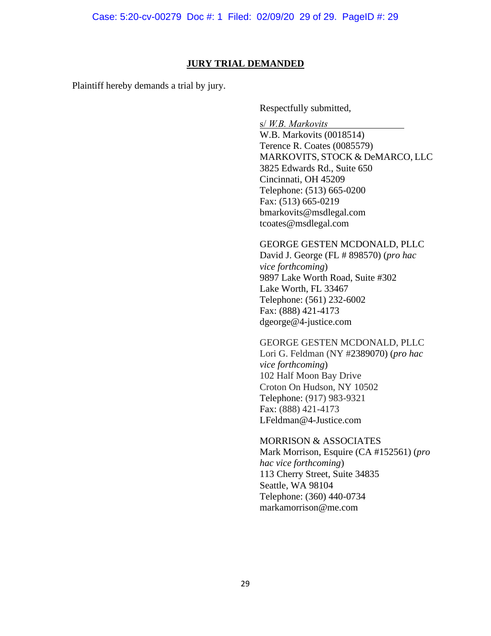## **JURY TRIAL DEMANDED**

Plaintiff hereby demands a trial by jury.

Respectfully submitted,

s/ *W.B. Markovits*

W.B. Markovits (0018514) Terence R. Coates (0085579) MARKOVITS, STOCK & DeMARCO, LLC 3825 Edwards Rd., Suite 650 Cincinnati, OH 45209 Telephone: (513) 665-0200 Fax: (513) 665-0219 bmarkovits@msdlegal.com tcoates@msdlegal.com

## GEORGE GESTEN MCDONALD, PLLC

David J. George (FL # 898570) (*pro hac vice forthcoming*) 9897 Lake Worth Road, Suite #302 Lake Worth, FL 33467 Telephone: (561) 232-6002 Fax: (888) 421-4173 dgeorge@4-justice.com

## GEORGE GESTEN MCDONALD, PLLC

Lori G. Feldman (NY #2389070) (*pro hac vice forthcoming*) 102 Half Moon Bay Drive Croton On Hudson, NY 10502 Telephone: (917) 983-9321 Fax: (888) 421-4173 LFeldman@4-Justice.com

## MORRISON & ASSOCIATES

Mark Morrison, Esquire (CA #152561) (*pro hac vice forthcoming*) 113 Cherry Street, Suite 34835 Seattle, WA 98104 Telephone: (360) 440-0734 markamorrison@me.com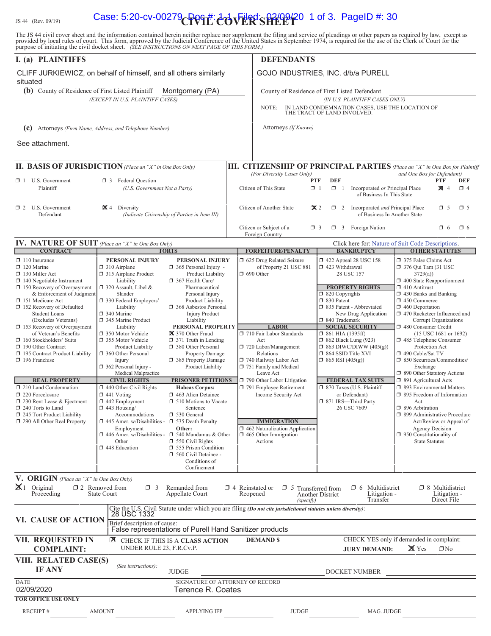# IS 44 (Rev. 09/19) **Case: 5:20-cv-00279 PVII: 00VER'SHILET** 0 1 of 3. PageID #: 30

The JS 44 civil cover sheet and the information contained herein neither replace nor supplement the filing and service of pleadings or other papers as required by law, except as provided by local rules of court. This form,

| I. (a) PLAINTIFFS                                                                                                                                                                                                                                                                                                                                                                                                                                                                                                                                                                                                                              |                                                                                                                                                                                                                                                                                                                                                                                                                                                                                                                                                                                                                       |                                                                                                                                                                                                                                                                                                                                                                                                                                                                                                                                                                                                                                                                                        |  | <b>DEFENDANTS</b>                                                                                                                                                                                                                                                                                                                                                                                                   |                                                                                                                                                            |                                                                                                                                                                                                                                                                                                                                         |                                                                                                                                                                                                                                                                                                                                                                                                                                                                                                                                                                                                                                                                                                                                          |                             |                 |
|------------------------------------------------------------------------------------------------------------------------------------------------------------------------------------------------------------------------------------------------------------------------------------------------------------------------------------------------------------------------------------------------------------------------------------------------------------------------------------------------------------------------------------------------------------------------------------------------------------------------------------------------|-----------------------------------------------------------------------------------------------------------------------------------------------------------------------------------------------------------------------------------------------------------------------------------------------------------------------------------------------------------------------------------------------------------------------------------------------------------------------------------------------------------------------------------------------------------------------------------------------------------------------|----------------------------------------------------------------------------------------------------------------------------------------------------------------------------------------------------------------------------------------------------------------------------------------------------------------------------------------------------------------------------------------------------------------------------------------------------------------------------------------------------------------------------------------------------------------------------------------------------------------------------------------------------------------------------------------|--|---------------------------------------------------------------------------------------------------------------------------------------------------------------------------------------------------------------------------------------------------------------------------------------------------------------------------------------------------------------------------------------------------------------------|------------------------------------------------------------------------------------------------------------------------------------------------------------|-----------------------------------------------------------------------------------------------------------------------------------------------------------------------------------------------------------------------------------------------------------------------------------------------------------------------------------------|------------------------------------------------------------------------------------------------------------------------------------------------------------------------------------------------------------------------------------------------------------------------------------------------------------------------------------------------------------------------------------------------------------------------------------------------------------------------------------------------------------------------------------------------------------------------------------------------------------------------------------------------------------------------------------------------------------------------------------------|-----------------------------|-----------------|
| CLIFF JURKIEWICZ, on behalf of himself, and all others similarly<br>situated                                                                                                                                                                                                                                                                                                                                                                                                                                                                                                                                                                   |                                                                                                                                                                                                                                                                                                                                                                                                                                                                                                                                                                                                                       |                                                                                                                                                                                                                                                                                                                                                                                                                                                                                                                                                                                                                                                                                        |  | GOJO INDUSTRIES, INC. d/b/a PURELL                                                                                                                                                                                                                                                                                                                                                                                  |                                                                                                                                                            |                                                                                                                                                                                                                                                                                                                                         |                                                                                                                                                                                                                                                                                                                                                                                                                                                                                                                                                                                                                                                                                                                                          |                             |                 |
|                                                                                                                                                                                                                                                                                                                                                                                                                                                                                                                                                                                                                                                | (b) County of Residence of First Listed Plaintiff<br>Montgomery (PA)                                                                                                                                                                                                                                                                                                                                                                                                                                                                                                                                                  |                                                                                                                                                                                                                                                                                                                                                                                                                                                                                                                                                                                                                                                                                        |  | County of Residence of First Listed Defendant                                                                                                                                                                                                                                                                                                                                                                       |                                                                                                                                                            |                                                                                                                                                                                                                                                                                                                                         |                                                                                                                                                                                                                                                                                                                                                                                                                                                                                                                                                                                                                                                                                                                                          |                             |                 |
|                                                                                                                                                                                                                                                                                                                                                                                                                                                                                                                                                                                                                                                | (EXCEPT IN U.S. PLAINTIFF CASES)                                                                                                                                                                                                                                                                                                                                                                                                                                                                                                                                                                                      |                                                                                                                                                                                                                                                                                                                                                                                                                                                                                                                                                                                                                                                                                        |  | NOTE:                                                                                                                                                                                                                                                                                                                                                                                                               |                                                                                                                                                            | (IN U.S. PLAINTIFF CASES ONLY)<br>IN LAND CONDEMNATION CASES, USE THE LOCATION OF                                                                                                                                                                                                                                                       |                                                                                                                                                                                                                                                                                                                                                                                                                                                                                                                                                                                                                                                                                                                                          |                             |                 |
|                                                                                                                                                                                                                                                                                                                                                                                                                                                                                                                                                                                                                                                |                                                                                                                                                                                                                                                                                                                                                                                                                                                                                                                                                                                                                       |                                                                                                                                                                                                                                                                                                                                                                                                                                                                                                                                                                                                                                                                                        |  |                                                                                                                                                                                                                                                                                                                                                                                                                     | THE TRACT OF LAND INVOLVED.                                                                                                                                |                                                                                                                                                                                                                                                                                                                                         |                                                                                                                                                                                                                                                                                                                                                                                                                                                                                                                                                                                                                                                                                                                                          |                             |                 |
| (c)                                                                                                                                                                                                                                                                                                                                                                                                                                                                                                                                                                                                                                            | Attorneys (Firm Name, Address, and Telephone Number)                                                                                                                                                                                                                                                                                                                                                                                                                                                                                                                                                                  |                                                                                                                                                                                                                                                                                                                                                                                                                                                                                                                                                                                                                                                                                        |  | Attorneys (If Known)                                                                                                                                                                                                                                                                                                                                                                                                |                                                                                                                                                            |                                                                                                                                                                                                                                                                                                                                         |                                                                                                                                                                                                                                                                                                                                                                                                                                                                                                                                                                                                                                                                                                                                          |                             |                 |
| See attachment.                                                                                                                                                                                                                                                                                                                                                                                                                                                                                                                                                                                                                                |                                                                                                                                                                                                                                                                                                                                                                                                                                                                                                                                                                                                                       |                                                                                                                                                                                                                                                                                                                                                                                                                                                                                                                                                                                                                                                                                        |  |                                                                                                                                                                                                                                                                                                                                                                                                                     |                                                                                                                                                            |                                                                                                                                                                                                                                                                                                                                         |                                                                                                                                                                                                                                                                                                                                                                                                                                                                                                                                                                                                                                                                                                                                          |                             |                 |
| II. BASIS OF JURISDICTION (Place an "X" in One Box Only)                                                                                                                                                                                                                                                                                                                                                                                                                                                                                                                                                                                       |                                                                                                                                                                                                                                                                                                                                                                                                                                                                                                                                                                                                                       |                                                                                                                                                                                                                                                                                                                                                                                                                                                                                                                                                                                                                                                                                        |  | III. CITIZENSHIP OF PRINCIPAL PARTIES (Place an "X" in One Box for Plaintiff                                                                                                                                                                                                                                                                                                                                        |                                                                                                                                                            |                                                                                                                                                                                                                                                                                                                                         |                                                                                                                                                                                                                                                                                                                                                                                                                                                                                                                                                                                                                                                                                                                                          |                             |                 |
| $\Box$ 1 U.S. Government<br>Plaintiff                                                                                                                                                                                                                                                                                                                                                                                                                                                                                                                                                                                                          | <b>3</b> Federal Question<br>(U.S. Government Not a Party)                                                                                                                                                                                                                                                                                                                                                                                                                                                                                                                                                            |                                                                                                                                                                                                                                                                                                                                                                                                                                                                                                                                                                                                                                                                                        |  | (For Diversity Cases Only)<br>Citizen of This State                                                                                                                                                                                                                                                                                                                                                                 | <b>DEF</b><br><b>PTF</b><br>$\Box$ 1<br>$\Box$ 1                                                                                                           | Incorporated or Principal Place<br>of Business In This State                                                                                                                                                                                                                                                                            | and One Box for Defendant)                                                                                                                                                                                                                                                                                                                                                                                                                                                                                                                                                                                                                                                                                                               | <b>PTF</b><br>$\boxtimes$ 4 | DEF<br>$\Box$ 4 |
| $\Box$ 2 U.S. Government<br>Defendant                                                                                                                                                                                                                                                                                                                                                                                                                                                                                                                                                                                                          | $\mathbf{X}$ 4 Diversity                                                                                                                                                                                                                                                                                                                                                                                                                                                                                                                                                                                              | (Indicate Citizenship of Parties in Item III)                                                                                                                                                                                                                                                                                                                                                                                                                                                                                                                                                                                                                                          |  | Citizen of Another State                                                                                                                                                                                                                                                                                                                                                                                            | $\mathbf{\times} 2$<br>$\Box$ 2                                                                                                                            | Incorporated and Principal Place<br>of Business In Another State                                                                                                                                                                                                                                                                        |                                                                                                                                                                                                                                                                                                                                                                                                                                                                                                                                                                                                                                                                                                                                          | $\Box$ 5                    | $\square$ 5     |
|                                                                                                                                                                                                                                                                                                                                                                                                                                                                                                                                                                                                                                                |                                                                                                                                                                                                                                                                                                                                                                                                                                                                                                                                                                                                                       |                                                                                                                                                                                                                                                                                                                                                                                                                                                                                                                                                                                                                                                                                        |  | Citizen or Subject of a<br>Foreign Country                                                                                                                                                                                                                                                                                                                                                                          | $\Box$ 3                                                                                                                                                   | $\Box$ 3 Foreign Nation                                                                                                                                                                                                                                                                                                                 |                                                                                                                                                                                                                                                                                                                                                                                                                                                                                                                                                                                                                                                                                                                                          | $\Box$ 6                    | $\Box$ 6        |
| <b>IV. NATURE OF SUIT</b> (Place an "X" in One Box Only)<br><b>CONTRACT</b>                                                                                                                                                                                                                                                                                                                                                                                                                                                                                                                                                                    |                                                                                                                                                                                                                                                                                                                                                                                                                                                                                                                                                                                                                       | <b>TORTS</b>                                                                                                                                                                                                                                                                                                                                                                                                                                                                                                                                                                                                                                                                           |  | <b>FORFEITURE/PENALTY</b>                                                                                                                                                                                                                                                                                                                                                                                           |                                                                                                                                                            | Click here for: Nature of Suit Code Descriptions.<br><b>BANKRUPTCY</b>                                                                                                                                                                                                                                                                  |                                                                                                                                                                                                                                                                                                                                                                                                                                                                                                                                                                                                                                                                                                                                          | <b>OTHER STATUTES</b>       |                 |
| $\Box$ 110 Insurance<br>$\Box$ 120 Marine<br>130 Miller Act<br>$\Box$ 140 Negotiable Instrument<br>$\Box$ 150 Recovery of Overpayment<br>& Enforcement of Judgment<br>151 Medicare Act<br>152 Recovery of Defaulted<br><b>Student Loans</b><br>(Excludes Veterans)<br>$\Box$ 153 Recovery of Overpayment<br>of Veteran's Benefits<br>160 Stockholders' Suits<br>190 Other Contract<br>195 Contract Product Liability<br>$\Box$ 196 Franchise<br><b>REAL PROPERTY</b><br>$\Box$ 210 Land Condemnation<br>220 Foreclosure<br>230 Rent Lease & Ejectment<br>240 Torts to Land<br>$\Box$ 245 Tort Product Liability<br>290 All Other Real Property | PERSONAL INJURY<br>$\Box$ 310 Airplane<br>315 Airplane Product<br>Liability<br>$\Box$ 320 Assault, Libel &<br>Slander<br>□ 330 Federal Employers'<br>Liability<br>□ 340 Marine<br>345 Marine Product<br>Liability<br>□ 350 Motor Vehicle<br>355 Motor Vehicle<br>Product Liability<br>360 Other Personal<br>Injury<br>362 Personal Injury -<br>Medical Malpractice<br><b>CIVIL RIGHTS</b><br>$\Box$ 440 Other Civil Rights<br>$\Box$ 441 Voting<br>$\Box$ 442 Employment<br>$\Box$ 443 Housing/<br>Accommodations<br>445 Amer. w/Disabilities -<br>Employment<br>446 Amer. w/Disabilities -<br>Other<br>448 Education | PERSONAL INJURY<br>$\Box$ 365 Personal Injury -<br>Product Liability<br>367 Health Care/<br>Pharmaceutical<br>Personal Injury<br>Product Liability<br>368 Asbestos Personal<br><b>Injury Product</b><br>Liability<br>PERSONAL PROPERTY<br>370 Other Fraud<br>$\Box$ 371 Truth in Lending<br>380 Other Personal<br>Property Damage<br>385 Property Damage<br>Product Liability<br><b>PRISONER PETITIONS</b><br><b>Habeas Corpus:</b><br>1463 Alien Detainee<br>$\Box$ 510 Motions to Vacate<br>Sentence<br>$\Box$ 530 General<br>535 Death Penalty<br>Other:<br>$\Box$ 540 Mandamus & Other<br>$\Box$ 550 Civil Rights<br>555 Prison Condition<br>560 Civil Detainee -<br>Conditions of |  | 5 625 Drug Related Seizure<br>of Property 21 USC 881<br>$\Box$ 690 Other<br><b>LABOR</b><br>710 Fair Labor Standards<br>Act<br>720 Labor/Management<br>Relations<br>740 Railway Labor Act<br>751 Family and Medical<br>Leave Act<br>790 Other Labor Litigation<br>791 Employee Retirement<br>Income Security Act<br><b>IMMIGRATION</b><br>462 Naturalization Application<br>$\Box$ 465 Other Immigration<br>Actions | □ 423 Withdrawal<br>$\Box$ 820 Copyrights<br>□ 830 Patent<br>□ 840 Trademark<br>$\Box$ 861 HIA (1395ff)<br>□ 864 SSID Title XVI<br>$\Box$ 865 RSI (405(g)) | 1422 Appeal 28 USC 158<br>28 USC 157<br><b>PROPERTY RIGHTS</b><br>□ 835 Patent - Abbreviated<br>New Drug Application<br><b>SOCIAL SECURITY</b><br>$\Box$ 862 Black Lung (923)<br>$\Box$ 863 DIWC/DIWW (405(g))<br><b>FEDERAL TAX SUITS</b><br>$\Box$ 870 Taxes (U.S. Plaintiff<br>or Defendant)<br>□ 871 IRS-Third Party<br>26 USC 7609 | 375 False Claims Act<br>$\Box$ 376 Qui Tam (31 USC<br>3729(a)<br>$\Box$ 400 State Reapportionment<br>$\Box$ 410 Antitrust<br>1 430 Banks and Banking<br>1 450 Commerce<br>$\Box$ 460 Deportation<br>□ 470 Racketeer Influenced and<br>Corrupt Organizations<br>480 Consumer Credit<br>$(15$ USC $1681$ or $1692)$<br>485 Telephone Consumer<br>Protection Act<br>490 Cable/Sat TV<br>□ 850 Securities/Commodities/<br>Exchange<br>□ 890 Other Statutory Actions<br>□ 891 Agricultural Acts<br>□ 893 Environmental Matters<br>□ 895 Freedom of Information<br>Act<br>□ 896 Arbitration<br>□ 899 Administrative Procedure<br>Act/Review or Appeal of<br><b>Agency Decision</b><br>$\Box$ 950 Constitutionality of<br><b>State Statutes</b> |                             |                 |
| <b>V. ORIGIN</b> (Place an "X" in One Box Only)<br>$\mathbb{X}$ 1 Original                                                                                                                                                                                                                                                                                                                                                                                                                                                                                                                                                                     | $\square$ 2 Removed from<br>$\Box$ 3                                                                                                                                                                                                                                                                                                                                                                                                                                                                                                                                                                                  | Confinement<br>Remanded from                                                                                                                                                                                                                                                                                                                                                                                                                                                                                                                                                                                                                                                           |  | $\Box$ 4 Reinstated or $\Box$ 5 Transferred from                                                                                                                                                                                                                                                                                                                                                                    |                                                                                                                                                            | $\Box$ 6 Multidistrict                                                                                                                                                                                                                                                                                                                  |                                                                                                                                                                                                                                                                                                                                                                                                                                                                                                                                                                                                                                                                                                                                          | $\Box$ 8 Multidistrict      |                 |
| Proceeding                                                                                                                                                                                                                                                                                                                                                                                                                                                                                                                                                                                                                                     | State Court                                                                                                                                                                                                                                                                                                                                                                                                                                                                                                                                                                                                           | Appellate Court                                                                                                                                                                                                                                                                                                                                                                                                                                                                                                                                                                                                                                                                        |  | Reopened<br>(specify)                                                                                                                                                                                                                                                                                                                                                                                               | Another District                                                                                                                                           | Litigation -<br>Transfer                                                                                                                                                                                                                                                                                                                |                                                                                                                                                                                                                                                                                                                                                                                                                                                                                                                                                                                                                                                                                                                                          | Litigation -<br>Direct File |                 |
| VI. CAUSE OF ACTION                                                                                                                                                                                                                                                                                                                                                                                                                                                                                                                                                                                                                            | 28 USC 1332<br>Brief description of cause:                                                                                                                                                                                                                                                                                                                                                                                                                                                                                                                                                                            |                                                                                                                                                                                                                                                                                                                                                                                                                                                                                                                                                                                                                                                                                        |  | Cite the U.S. Civil Statute under which you are filing (Do not cite jurisdictional statutes unless diversity):                                                                                                                                                                                                                                                                                                      |                                                                                                                                                            |                                                                                                                                                                                                                                                                                                                                         |                                                                                                                                                                                                                                                                                                                                                                                                                                                                                                                                                                                                                                                                                                                                          |                             |                 |
| VII. REQUESTED IN<br><b>COMPLAINT:</b>                                                                                                                                                                                                                                                                                                                                                                                                                                                                                                                                                                                                         | ⊠<br>UNDER RULE 23, F.R.Cv.P.                                                                                                                                                                                                                                                                                                                                                                                                                                                                                                                                                                                         | False representations of Purell Hand Sanitizer products<br>CHECK IF THIS IS A CLASS ACTION                                                                                                                                                                                                                                                                                                                                                                                                                                                                                                                                                                                             |  | <b>DEMAND \$</b>                                                                                                                                                                                                                                                                                                                                                                                                    |                                                                                                                                                            | CHECK YES only if demanded in complaint:<br><b>JURY DEMAND:</b>                                                                                                                                                                                                                                                                         | X Yes                                                                                                                                                                                                                                                                                                                                                                                                                                                                                                                                                                                                                                                                                                                                    | $\Box$ No                   |                 |
| VIII. RELATED CASE(S)<br><b>IF ANY</b>                                                                                                                                                                                                                                                                                                                                                                                                                                                                                                                                                                                                         | (See instructions):                                                                                                                                                                                                                                                                                                                                                                                                                                                                                                                                                                                                   | <b>JUDGE</b>                                                                                                                                                                                                                                                                                                                                                                                                                                                                                                                                                                                                                                                                           |  |                                                                                                                                                                                                                                                                                                                                                                                                                     |                                                                                                                                                            | DOCKET NUMBER                                                                                                                                                                                                                                                                                                                           |                                                                                                                                                                                                                                                                                                                                                                                                                                                                                                                                                                                                                                                                                                                                          |                             |                 |
| <b>DATE</b>                                                                                                                                                                                                                                                                                                                                                                                                                                                                                                                                                                                                                                    |                                                                                                                                                                                                                                                                                                                                                                                                                                                                                                                                                                                                                       | SIGNATURE OF ATTORNEY OF RECORD                                                                                                                                                                                                                                                                                                                                                                                                                                                                                                                                                                                                                                                        |  |                                                                                                                                                                                                                                                                                                                                                                                                                     |                                                                                                                                                            |                                                                                                                                                                                                                                                                                                                                         |                                                                                                                                                                                                                                                                                                                                                                                                                                                                                                                                                                                                                                                                                                                                          |                             |                 |
| 02/09/2020<br><b>FOR OFFICE USE ONLY</b>                                                                                                                                                                                                                                                                                                                                                                                                                                                                                                                                                                                                       |                                                                                                                                                                                                                                                                                                                                                                                                                                                                                                                                                                                                                       | Terence R. Coates                                                                                                                                                                                                                                                                                                                                                                                                                                                                                                                                                                                                                                                                      |  |                                                                                                                                                                                                                                                                                                                                                                                                                     |                                                                                                                                                            |                                                                                                                                                                                                                                                                                                                                         |                                                                                                                                                                                                                                                                                                                                                                                                                                                                                                                                                                                                                                                                                                                                          |                             |                 |
| RECEIPT#                                                                                                                                                                                                                                                                                                                                                                                                                                                                                                                                                                                                                                       | <b>AMOUNT</b>                                                                                                                                                                                                                                                                                                                                                                                                                                                                                                                                                                                                         | <b>APPLYING IFP</b>                                                                                                                                                                                                                                                                                                                                                                                                                                                                                                                                                                                                                                                                    |  | <b>JUDGE</b>                                                                                                                                                                                                                                                                                                                                                                                                        |                                                                                                                                                            | MAG. JUDGE                                                                                                                                                                                                                                                                                                                              |                                                                                                                                                                                                                                                                                                                                                                                                                                                                                                                                                                                                                                                                                                                                          |                             |                 |
|                                                                                                                                                                                                                                                                                                                                                                                                                                                                                                                                                                                                                                                |                                                                                                                                                                                                                                                                                                                                                                                                                                                                                                                                                                                                                       |                                                                                                                                                                                                                                                                                                                                                                                                                                                                                                                                                                                                                                                                                        |  |                                                                                                                                                                                                                                                                                                                                                                                                                     |                                                                                                                                                            |                                                                                                                                                                                                                                                                                                                                         |                                                                                                                                                                                                                                                                                                                                                                                                                                                                                                                                                                                                                                                                                                                                          |                             |                 |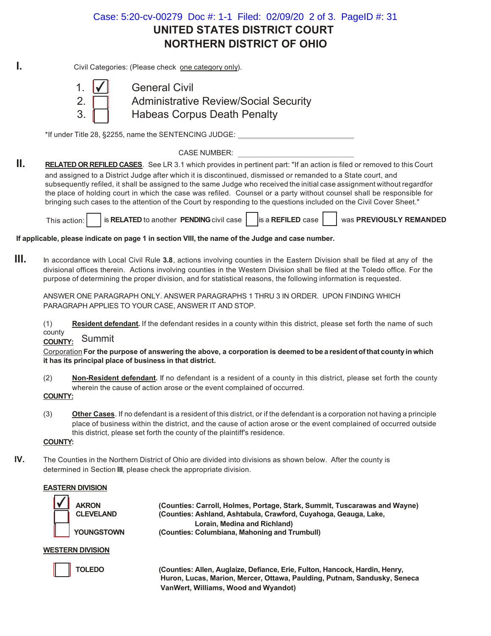## **UNITED STATES DISTRICT COURT NORTHERN DISTRICT OF OHIO** Case: 5:20-cv-00279 Doc #: 1-1 Filed: 02/09/20 2 of 3. PageID #: 31

**I.** Civil Categories: (Please check one category only).



1. I<del>V</del> General Civil 2. **Administrative Review/Social Security** 3. **Habeas Corpus Death Penalty** 

\*If under Title 28, §2255, name the SENTENCING JUDGE:

CASE NUMBER:

**II. RELATED OR REFILED CASES**. See LR 3.1 which provides in pertinent part: "If an action is filed or removed to this Court and assigned to a District Judge after which it is discontinued, dismissed or remanded to a State court, and subsequently refiled, it shall be assigned to the same Judge who received the initial case assignment without regardfor the place of holding court in which the case was refiled. Counsel or a party without counsel shall be responsible for bringing such cases to the attention of the Court by responding to the questions included on the Civil Cover Sheet."

This action: **LAU** is **RELATED** to another **PENDING** civil case **LAU** is a **REFILED** case was PREVIOUSLY REMANDED

**If applicable, please indicate on page 1 in section VIII, the name of the Judge and case number.**

**III.** In accordance with Local Civil Rule **3.8**, actions involving counties in the Eastern Division shall be filed at any of the divisional offices therein. Actions involving counties in the Western Division shall be filed at the Toledo office. For the purpose of determining the proper division, and for statistical reasons, the following information is requested.

ANSWER ONE PARAGRAPH ONLY. ANSWER PARAGRAPHS 1 THRU 3 IN ORDER. UPON FINDING WHICH PARAGRAPH APPLIES TO YOUR CASE, ANSWER IT AND STOP.

(1) **Resident defendant.** If the defendant resides in a county within this district, please set forth the name of such county

**COUNTY:** Summit

Corporation **For the purpose of answering the above, a corporation is deemed to be a resident of that county in which it has its principal place of business in that district.**

- (2) **Non-Resident defendant.** If no defendant is a resident of a county in this district, please set forth the county wherein the cause of action arose or the event complained of occurred.
- **COUNTY:**
- (3) **Other Cases**. If no defendant is a resident of this district, or if the defendant is a corporation not having a principle place of business within the district, and the cause of action arose or the event complained of occurred outside this district, please set forth the county of the plaintiff's residence.

## **COUNTY:**

**IV.** The Counties in the Northern District of Ohio are divided into divisions as shown below. After the county is determined in Section **III**, please check the appropriate division.

## **EASTERN DIVISION**

| <b>AKRON</b>      |
|-------------------|
| <b>CLEVELAND</b>  |
| <b>YOUNGSTOWI</b> |

 **(Counties: Carroll, Holmes, Portage, Stark, Summit, Tuscarawas and Wayne) (Counties: Ashland, Ashtabula, Crawford, Cuyahoga, Geauga, Lake, Lorain, Medina and Richland) N** (Counties: Columbiana, Mahoning and Trumbull)

## **WESTERN DIVISION**



 **TOLEDO (Counties: Allen, Auglaize, Defiance, Erie, Fulton, Hancock, Hardin, Henry, Huron, Lucas, Marion, Mercer, Ottawa, Paulding, Putnam, Sandusky, Seneca VanWert, Williams, Wood and Wyandot)**